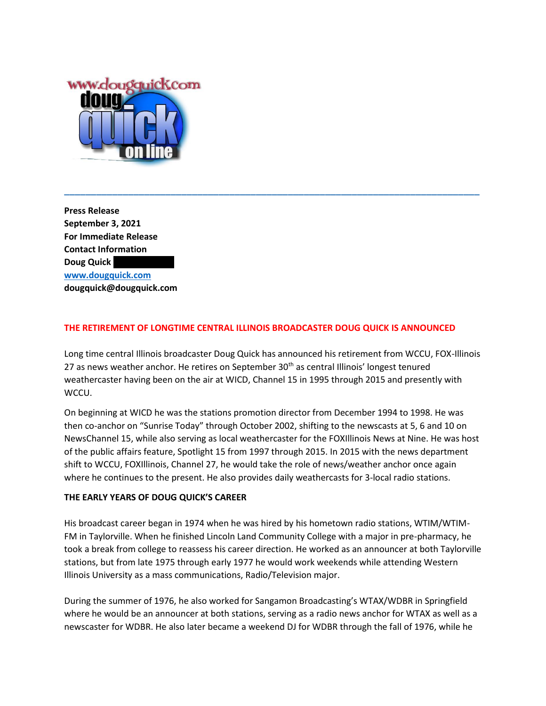

**Press Release September 3, 2021 For Immediate Release Contact Information Doug Quick [www.dougquick.com](http://www.dougquick.com/) dougquick@dougquick.com**

# **THE RETIREMENT OF LONGTIME CENTRAL ILLINOIS BROADCASTER DOUG QUICK IS ANNOUNCED**

Long time central Illinois broadcaster Doug Quick has announced his retirement from WCCU, FOX-Illinois 27 as news weather anchor. He retires on September 30<sup>th</sup> as central Illinois' longest tenured weathercaster having been on the air at WICD, Channel 15 in 1995 through 2015 and presently with WCCU.

**\_\_\_\_\_\_\_\_\_\_\_\_\_\_\_\_\_\_\_\_\_\_\_\_\_\_\_\_\_\_\_\_\_\_\_\_\_\_\_\_\_\_\_\_\_\_\_\_\_\_\_\_\_\_\_\_\_\_\_\_\_\_\_\_\_\_\_\_\_\_\_\_\_\_\_\_\_\_**

On beginning at WICD he was the stations promotion director from December 1994 to 1998. He was then co-anchor on "Sunrise Today" through October 2002, shifting to the newscasts at 5, 6 and 10 on NewsChannel 15, while also serving as local weathercaster for the FOXIllinois News at Nine. He was host of the public affairs feature, Spotlight 15 from 1997 through 2015. In 2015 with the news department shift to WCCU, FOXIllinois, Channel 27, he would take the role of news/weather anchor once again where he continues to the present. He also provides daily weathercasts for 3-local radio stations.

### **THE EARLY YEARS OF DOUG QUICK'S CAREER**

His broadcast career began in 1974 when he was hired by his hometown radio stations, WTIM/WTIM-FM in Taylorville. When he finished Lincoln Land Community College with a major in pre-pharmacy, he took a break from college to reassess his career direction. He worked as an announcer at both Taylorville stations, but from late 1975 through early 1977 he would work weekends while attending Western Illinois University as a mass communications, Radio/Television major.

During the summer of 1976, he also worked for Sangamon Broadcasting's WTAX/WDBR in Springfield where he would be an announcer at both stations, serving as a radio news anchor for WTAX as well as a newscaster for WDBR. He also later became a weekend DJ for WDBR through the fall of 1976, while he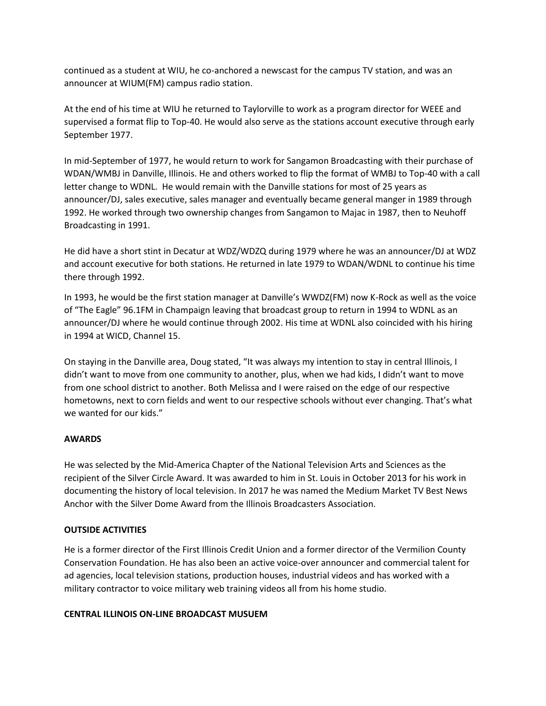continued as a student at WIU, he co-anchored a newscast for the campus TV station, and was an announcer at WIUM(FM) campus radio station.

At the end of his time at WIU he returned to Taylorville to work as a program director for WEEE and supervised a format flip to Top-40. He would also serve as the stations account executive through early September 1977.

In mid-September of 1977, he would return to work for Sangamon Broadcasting with their purchase of WDAN/WMBJ in Danville, Illinois. He and others worked to flip the format of WMBJ to Top-40 with a call letter change to WDNL. He would remain with the Danville stations for most of 25 years as announcer/DJ, sales executive, sales manager and eventually became general manger in 1989 through 1992. He worked through two ownership changes from Sangamon to Majac in 1987, then to Neuhoff Broadcasting in 1991.

He did have a short stint in Decatur at WDZ/WDZQ during 1979 where he was an announcer/DJ at WDZ and account executive for both stations. He returned in late 1979 to WDAN/WDNL to continue his time there through 1992.

In 1993, he would be the first station manager at Danville's WWDZ(FM) now K-Rock as well as the voice of "The Eagle" 96.1FM in Champaign leaving that broadcast group to return in 1994 to WDNL as an announcer/DJ where he would continue through 2002. His time at WDNL also coincided with his hiring in 1994 at WICD, Channel 15.

On staying in the Danville area, Doug stated, "It was always my intention to stay in central Illinois, I didn't want to move from one community to another, plus, when we had kids, I didn't want to move from one school district to another. Both Melissa and I were raised on the edge of our respective hometowns, next to corn fields and went to our respective schools without ever changing. That's what we wanted for our kids."

### **AWARDS**

He was selected by the Mid-America Chapter of the National Television Arts and Sciences as the recipient of the Silver Circle Award. It was awarded to him in St. Louis in October 2013 for his work in documenting the history of local television. In 2017 he was named the Medium Market TV Best News Anchor with the Silver Dome Award from the Illinois Broadcasters Association.

### **OUTSIDE ACTIVITIES**

He is a former director of the First Illinois Credit Union and a former director of the Vermilion County Conservation Foundation. He has also been an active voice-over announcer and commercial talent for ad agencies, local television stations, production houses, industrial videos and has worked with a military contractor to voice military web training videos all from his home studio.

### **CENTRAL ILLINOIS ON-LINE BROADCAST MUSUEM**